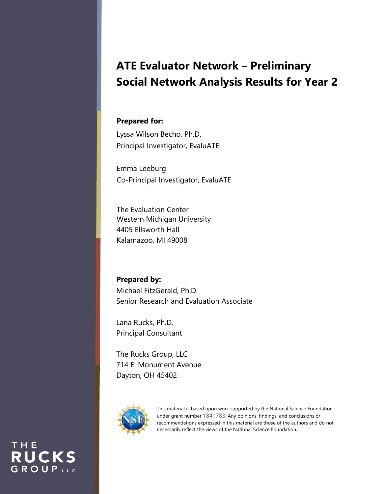# **ATE Evaluator Network – Preliminary Social Network Analysis Results for Year 2**

### **Prepared for:**

Lyssa Wilson Becho, Ph.D. Principal Investigator, EvaluATE

Emma Leeburg Co-Principal Investigator, EvaluATE

The Evaluation Center Western Michigan University 4405 Ellsworth Hall Kalamazoo, MI 49008

**Prepared by:** Michael FitzGerald, Ph.D. Senior Research and Evaluation Associate

Lana Rucks, Ph.D. Principal Consultant

The Rucks Group, LLC 714 E. Monument Avenue Dayton, OH 45402



THE

**RUCKS** GROUPLLC

This material is based upon work supported by the National Science Foundation under grant number 1841783. Any opinions, findings, and conclusions or recommendations expressed in this material are those of the authors and do not necessarily reflect the views of the National Science Foundation.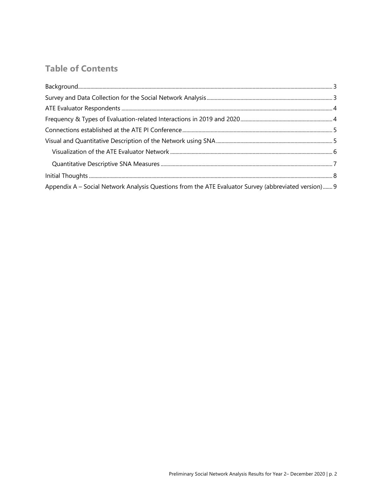# **Table of Contents**

| ${\sf Background.}\hspace{1cm}3$                                                                     |  |
|------------------------------------------------------------------------------------------------------|--|
|                                                                                                      |  |
|                                                                                                      |  |
|                                                                                                      |  |
|                                                                                                      |  |
|                                                                                                      |  |
|                                                                                                      |  |
|                                                                                                      |  |
|                                                                                                      |  |
| Appendix A - Social Network Analysis Questions from the ATE Evaluator Survey (abbreviated version) 9 |  |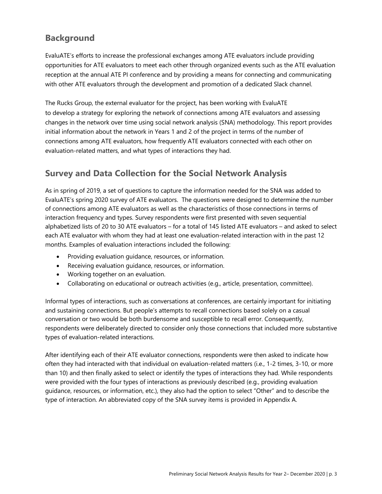# **Background**

EvaluATE's efforts to increase the professional exchanges among ATE evaluators include providing opportunities for ATE evaluators to meet each other through organized events such as the ATE evaluation reception at the annual ATE PI conference and by providing a means for connecting and communicating with other ATE evaluators through the development and promotion of a dedicated Slack channel.

The Rucks Group, the external evaluator for the project, has been working with EvaluATE to develop a strategy for exploring the network of connections among ATE evaluators and assessing changes in the network over time using social network analysis (SNA) methodology. This report provides initial information about the network in Years 1 and 2 of the project in terms of the number of connections among ATE evaluators, how frequently ATE evaluators connected with each other on evaluation-related matters, and what types of interactions they had.

# **Survey and Data Collection for the Social Network Analysis**

As in spring of 2019, a set of questions to capture the information needed for the SNA was added to EvaluATE's spring 2020 survey of ATE evaluators. The questions were designed to determine the number of connections among ATE evaluators as well as the characteristics of those connections in terms of interaction frequency and types. Survey respondents were first presented with seven sequential alphabetized lists of 20 to 30 ATE evaluators – for a total of 145 listed ATE evaluators – and asked to select each ATE evaluator with whom they had at least one evaluation-related interaction with in the past 12 months. Examples of evaluation interactions included the following:

- Providing evaluation guidance, resources, or information.
- Receiving evaluation guidance, resources, or information.
- Working together on an evaluation.
- Collaborating on educational or outreach activities (e.g., article, presentation, committee).

Informal types of interactions, such as conversations at conferences, are certainly important for initiating and sustaining connections. But people's attempts to recall connections based solely on a casual conversation or two would be both burdensome and susceptible to recall error. Consequently, respondents were deliberately directed to consider only those connections that included more substantive types of evaluation-related interactions.

After identifying each of their ATE evaluator connections, respondents were then asked to indicate how often they had interacted with that individual on evaluation-related matters (i.e., 1-2 times, 3-10, or more than 10) and then finally asked to select or identify the types of interactions they had. While respondents were provided with the four types of interactions as previously described (e.g., providing evaluation guidance, resources, or information, etc.), they also had the option to select "Other" and to describe the type of interaction. An abbreviated copy of the SNA survey items is provided in Appendix A.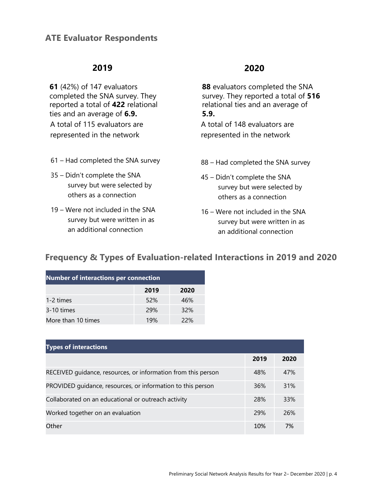# **ATE Evaluator Respondents**

### **2019**

**61** (42%) of 147 evaluators completed the SNA survey. They reported a total of **422** relational ties and an average of **6.9.** A total of 115 evaluators are represented in the network

- 61 Had completed the SNA survey
- 35 Didn't complete the SNA survey but were selected by others as a connection
- 19 Were not included in the SNA survey but were written in as an additional connection

### **2020**

**88** evaluators completed the SNA survey. They reported a total of **516**  relational ties and an average of **5.9.** A total of 148 evaluators are represented in the network

- 88 Had completed the SNA survey
- 45 Didn't complete the SNA survey but were selected by others as a connection
- 16 Were not included in the SNA survey but were written in as an additional connection

# **Frequency & Types of Evaluation-related Interactions in 2019 and 2020**

| <b>Number of interactions per connection</b> |      |      |  |  |
|----------------------------------------------|------|------|--|--|
|                                              | 2019 | 2020 |  |  |
| 1-2 times                                    | 52%  | 46%  |  |  |
| 3-10 times                                   | 29%  | 32%  |  |  |
| More than 10 times                           | 19%  | 22%  |  |  |

| <b>Types of interactions</b>                                  |      |      |
|---------------------------------------------------------------|------|------|
|                                                               | 2019 | 2020 |
| RECEIVED quidance, resources, or information from this person | 48%  | 47%  |
| PROVIDED quidance, resources, or information to this person   | 36%  | 31%  |
| Collaborated on an educational or outreach activity           | 28%  | 33%  |
| Worked together on an evaluation                              | 29%  | 26%  |
| Other                                                         | 10%  | 7%   |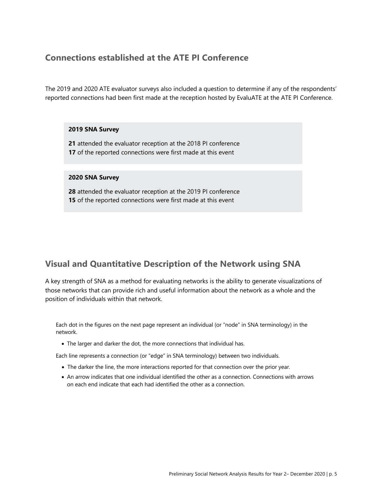### **Connections established at the ATE PI Conference**

The 2019 and 2020 ATE evaluator surveys also included a question to determine if any of the respondents' reported connections had been first made at the reception hosted by EvaluATE at the ATE PI Conference.

#### **2019 SNA Survey**

**21** attended the evaluator reception at the 2018 PI conference **17** of the reported connections were first made at this event

#### **2020 SNA Survey**

**28** attended the evaluator reception at the 2019 PI conference **15** of the reported connections were first made at this event

# **Visual and Quantitative Description of the Network using SNA**

A key strength of SNA as a method for evaluating networks is the ability to generate visualizations of those networks that can provide rich and useful information about the network as a whole and the position of individuals within that network.

Each dot in the figures on the next page represent an individual (or "node" in SNA terminology) in the network.

• The larger and darker the dot, the more connections that individual has.

Each line represents a connection (or "edge" in SNA terminology) between two individuals.

- The darker the line, the more interactions reported for that connection over the prior year.
- An arrow indicates that one individual identified the other as a connection. Connections with arrows on each end indicate that each had identified the other as a connection.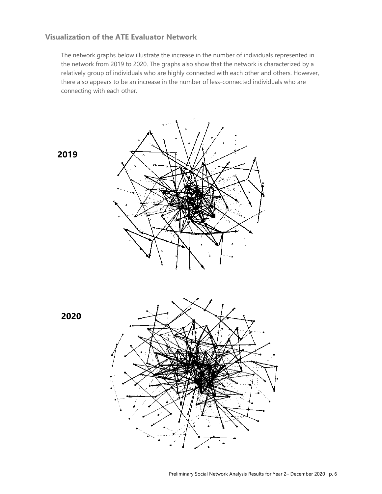### **Visualization of the ATE Evaluator Network**

The network graphs below illustrate the increase in the number of individuals represented in the network from 2019 to 2020. The graphs also show that the network is characterized by a relatively group of individuals who are highly connected with each other and others. However, there also appears to be an increase in the number of less-connected individuals who are connecting with each other.



**2019**



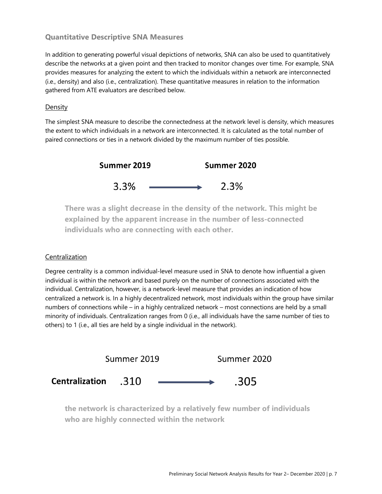### **Quantitative Descriptive SNA Measures**

In addition to generating powerful visual depictions of networks, SNA can also be used to quantitatively describe the networks at a given point and then tracked to monitor changes over time. For example, SNA provides measures for analyzing the extent to which the individuals within a network are interconnected (i.e., density) and also (i.e., centralization). These quantitative measures in relation to the information gathered from ATE evaluators are described below.

### Density

The simplest SNA measure to describe the connectedness at the network level is density, which measures the extent to which individuals in a network are interconnected. It is calculated as the total number of paired connections or ties in a network divided by the maximum number of ties possible.



**There was a slight decrease in the density of the network. This might be explained by the apparent increase in the number of less-connected individuals who are connecting with each other.**

### Centralization

Degree centrality is a common individual-level measure used in SNA to denote how influential a given individual is within the network and based purely on the number of connections associated with the individual. Centralization, however, is a network-level measure that provides an indication of how centralized a network is. In a highly decentralized network, most individuals within the group have similar numbers of connections while – in a highly centralized network – most connections are held by a small minority of individuals. Centralization ranges from 0 (i.e., all individuals have the same number of ties to others) to 1 (i.e., all ties are held by a single individual in the network).



**the network is characterized by a relatively few number of individuals who are highly connected within the network**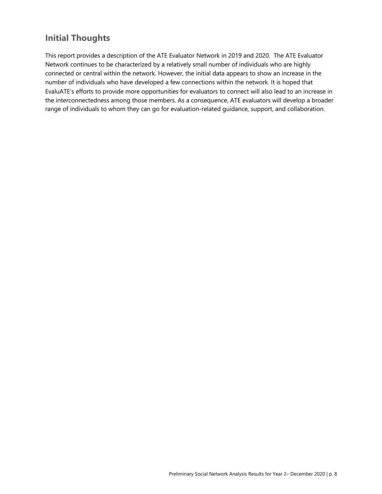# **Initial Thoughts**

This report provides a description of the ATE Evaluator Network in 2019 and 2020. The ATE Evaluator Network continues to be characterized by a relatively small number of individuals who are highly connected or central within the network. However, the initial data appears to show an increase in the number of individuals who have developed a few connections within the network. It is hoped that EvaluATE's efforts to provide more opportunities for evaluators to connect will also lead to an increase in the interconnectedness among those members. As a consequence, ATE evaluators will develop a broader range of individuals to whom they can go for evaluation-related guidance, support, and collaboration.